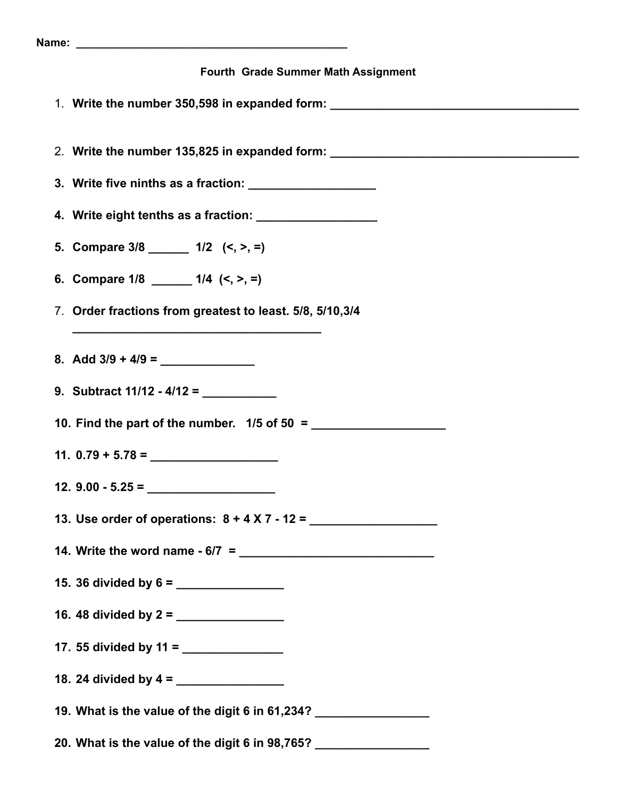| Fourth Grade Summer Math Assignment                                              |
|----------------------------------------------------------------------------------|
| 1. Write the number 350,598 in expanded form: __________________________________ |
| 2. Write the number 135,825 in expanded form: __________________________________ |
|                                                                                  |
| 4. Write eight tenths as a fraction: ___________________                         |
| 5. Compare $3/8$ _________ 1/2 $(<, >, =)$                                       |
| 6. Compare $1/8$ _______ $1/4$ $(<, >, =)$                                       |
| 7. Order fractions from greatest to least. 5/8, 5/10,3/4                         |
|                                                                                  |
|                                                                                  |
|                                                                                  |
|                                                                                  |
|                                                                                  |
| 12. $9.00 - 5.25 =$                                                              |
|                                                                                  |
| 14. Write the word name - 6/7 = $\frac{2}{1}$                                    |
|                                                                                  |
|                                                                                  |
|                                                                                  |
|                                                                                  |
| 19. What is the value of the digit 6 in 61,234? __________________               |
| 20. What is the value of the digit 6 in 98,765? __________________               |